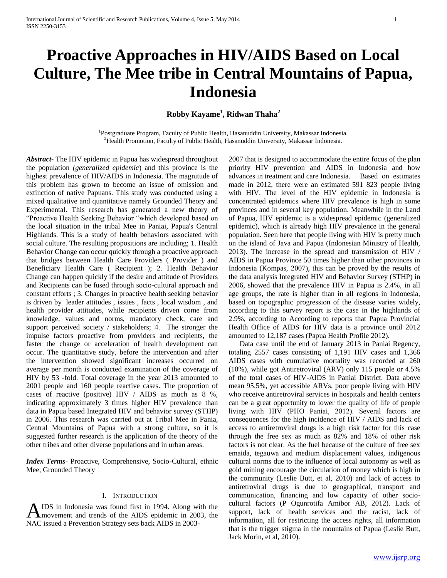# **Proactive Approaches in HIV/AIDS Based on Local Culture, The Mee tribe in Central Mountains of Papua, Indonesia**

**Robby Kayame<sup>1</sup> , Ridwan Thaha<sup>2</sup>**

<sup>1</sup>Postgraduate Program, Faculty of Public Health, Hasanuddin University, Makassar Indonesia. <sup>2</sup>Health Promotion, Faculty of Public Health, Hasanuddin University, Makassar Indonesia.

*Abstract***-** The HIV epidemic in Papua has widespread throughout the population *(generalized epidemic*) and this province is the highest prevalence of HIV/AIDS in Indonesia. The magnitude of this problem has grown to become an issue of omission and extinction of native Papuans. This study was conducted using a mixed qualitative and quantitative namely Grounded Theory and Experimental. This research has generated a new theory of "Proactive Health Seeking Behavior "which developed based on the local situation in the tribal Mee in Paniai, Papua's Central Highlands. This is a study of health behaviors associated with social culture. The resulting propositions are including; 1. Health Behavior Change can occur quickly through a proactive approach that bridges between Health Care Providers ( Provider ) and Beneficiary Health Care ( Recipient ); 2. Health Behavior Change can happen quickly if the desire and attitude of Providers and Recipients can be fused through socio-cultural approach and constant efforts ; 3. Changes in proactive health seeking behavior is driven by leader attitudes , issues , facts , local wisdom , and health provider attitudes, while recipients driven come from knowledge, values and norms, mandatory check, care and support perceived society / stakeholders; 4. The stronger the impulse factors proactive from providers and recipients, the faster the change or acceleration of health development can occur. The quantitative study, before the intervention and after the intervention showed significant increases occurred on average per month is conducted examination of the coverage of HIV by 53 -fold. Total coverage in the year 2013 amounted to 2001 people and 160 people reactive cases. The proportion of cases of reactive (positive) HIV / AIDS as much as 8 %, indicating approximately 3 times higher HIV prevalence than data in Papua based Integrated HIV and behavior survey (STHP) in 2006. This research was carried out at Tribal Mee in Pania, Central Mountains of Papua with a strong culture, so it is suggested further research is the application of the theory of the other tribes and other diverse populations and in urban areas.

*Index Terms*- Proactive, Comprehensive, Socio-Cultural, ethnic Mee, Grounded Theory

#### I. INTRODUCTION

IDS in Indonesia was found first in 1994. Along with the movement and trends of the AIDS epidemic in 2003, the NAC issued a Prevention Strategy sets back AIDS in 2003- A

2007 that is designed to accommodate the entire focus of the plan priority HIV prevention and AIDS in Indonesia and how advances in treatment and care Indonesia. Based on estimates made in 2012, there were an estimated 591 823 people living with HIV. The level of the HIV epidemic in Indonesia is concentrated epidemics where HIV prevalence is high in some provinces and in several key population. Meanwhile in the Land of Papua, HIV epidemic is a widespread epidemic (generalized epidemic), which is already high HIV prevalence in the general population. Seen here that people living with HIV is pretty much on the island of Java and Papua (Indonesian Ministry of Health, 2013). The increase in the spread and transmission of HIV / AIDS in Papua Province 50 times higher than other provinces in Indonesia (Kompas, 2007), this can be proved by the results of the data analysis Integrated HIV and Behavior Survey (STHP) in 2006, showed that the prevalence HIV in Papua is 2.4%, in all age groups, the rate is higher than in all regions in Indonesia, based on topographic progression of the disease varies widely, according to this survey report is the case in the highlands of 2.9%, according to According to reports that Papua Provincial Health Office of AIDS for HIV data is a province until 2012 amounted to 12,187 cases (Papua Health Profile 2012).

 Data case until the end of January 2013 in Paniai Regency, totaling 2557 cases consisting of 1,191 HIV cases and 1,366 AIDS cases with cumulative mortality was recorded at 260 (10%), while got Antiretroviral (ARV) only 115 people or 4.5% of the total cases of HIV-AIDS in Paniai District. Data above mean 95.5%, yet accessible ARVs, poor people living with HIV who receive antiretroviral services in hospitals and health centers can be a great opportunity to lower the quality of life of people living with HIV (PHO Paniai, 2012). Several factors are consequences for the high incidence of HIV / AIDS and lack of access to antiretroviral drugs is a high risk factor for this case through the free sex as much as 82% and 18% of other risk factors is not clear. As the fuel because of the culture of free sex emaida, tegauwa and medium displacement values, indigenous cultural norms due to the influence of local autonomy as well as gold mining encourage the circulation of money which is high in the community (Leslie Butt, et al, 2010) and lack of access to antiretroviral drugs is due to geographical, transport and communication, financing and low capacity of other sociocultural factors (P Ogunrotifa Amibor AB, 2012). Lack of support, lack of health services and the racist, lack of information, all for restricting the access rights, all information that is the trigger stigma in the mountains of Papua (Leslie Butt, Jack Morin, et al, 2010).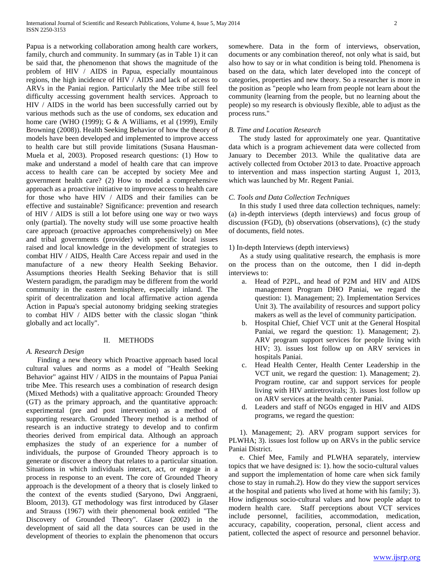Papua is a networking collaboration among health care workers, family, church and community. In summary (as in Table 1) it can be said that, the phenomenon that shows the magnitude of the problem of HIV / AIDS in Papua, especially mountainous regions, the high incidence of HIV / AIDS and lack of access to ARVs in the Paniai region. Particularly the Mee tribe still feel difficulty accessing government health services. Approach to HIV / AIDS in the world has been successfully carried out by various methods such as the use of condoms, sex education and home care (WHO (1999); G & A Williams, et al (1999), Emily Browning (2008)). Health Seeking Behavior of how the theory of models have been developed and implemented to improve access to health care but still provide limitations (Susana Hausman-Muela et al, 2003). Proposed research questions: (1) How to make and understand a model of health care that can improve access to health care can be accepted by society Mee and government health care? (2) How to model a comprehensive approach as a proactive initiative to improve access to health care for those who have HIV / AIDS and their families can be effective and sustainable? Significance: prevention and research of HIV / AIDS is still a lot before using one way or two ways only (partial). The novelty study will use some proactive health care approach (proactive approaches comprehensively) on Mee and tribal governments (provider) with specific local issues raised and local knowledge in the development of strategies to combat HIV / AIDS, Health Care Access repair and used in the manufacture of a new theory Health Seeking Behavior. Assumptions theories Health Seeking Behavior that is still Western paradigm, the paradigm may be different from the world community in the eastern hemisphere, especially inland. The spirit of decentralization and local affirmative action agenda Action in Papua's special autonomy bridging seeking strategies to combat HIV / AIDS better with the classic slogan "think globally and act locally".

## II. METHODS

# *A. Research Design*

 Finding a new theory which Proactive approach based local cultural values and norms as a model of "Health Seeking Behavior" against HIV / AIDS in the mountains of Papua Paniai tribe Mee. This research uses a combination of research design (Mixed Methods) with a qualitative approach: Grounded Theory (GT) as the primary approach, and the quantitative approach: experimental (pre and post intervention) as a method of supporting research. Grounded Theory method is a method of research is an inductive strategy to develop and to confirm theories derived from empirical data. Although an approach emphasizes the study of an experience for a number of individuals, the purpose of Grounded Theory approach is to generate or discover a theory that relates to a particular situation. Situations in which individuals interact, act, or engage in a process in response to an event. The core of Grounded Theory approach is the development of a theory that is closely linked to the context of the events studied (Saryono, Dwi Anggraeni, Bloom, 2013). GT methodology was first introduced by Glaser and Strauss (1967) with their phenomenal book entitled "The Discovery of Grounded Theory". Glaser (2002) in the development of said all the data sources can be used in the development of theories to explain the phenomenon that occurs

somewhere. Data in the form of interviews, observation, documents or any combination thereof, not only what is said, but also how to say or in what condition is being told. Phenomena is based on the data, which later developed into the concept of categories, properties and new theory. So a researcher is more in the position as "people who learn from people not learn about the community (learning from the people, but no learning about the people) so my research is obviously flexible, able to adjust as the process runs."

## *B. Time and Location Research*

 The study lasted for approximately one year. Quantitative data which is a program achievement data were collected from January to December 2013. While the qualitative data are actively collected from October 2013 to date. Proactive approach to intervention and mass inspection starting August 1, 2013, which was launched by Mr. Regent Paniai.

## *C. Tools and Data Collection Techniques*

 In this study I used three data collection techniques, namely: (a) in-depth interviews (depth interviews) and focus group of discussion (FGD), (b) observations (observations), (c) the study of documents, field notes.

### 1) In-depth Interviews (depth interviews)

 As a study using qualitative research, the emphasis is more on the process than on the outcome, then I did in-depth interviews to:

- a. Head of P2PL, and head of P2M and HIV and AIDS management Program DHO Paniai, we regard the question: 1). Management; 2). Implementation Services Unit 3). The availability of resources and support policy makers as well as the level of community participation.
- b. Hospital Chief, Chief VCT unit at the General Hospital Paniai, we regard the question: 1). Management; 2). ARV program support services for people living with HIV; 3). issues lost follow up on ARV services in hospitals Paniai.
- c. Head Health Center, Health Center Leadership in the VCT unit, we regard the question: 1). Management; 2). Program routine, car and support services for people living with HIV antiretrovirals; 3). issues lost follow up on ARV services at the health center Paniai.
- d. Leaders and staff of NGOs engaged in HIV and AIDS programs, we regard the question:

 1). Management; 2). ARV program support services for PLWHA; 3). issues lost follow up on ARVs in the public service Paniai District.

 e. Chief Mee, Family and PLWHA separately, interview topics that we have designed is: 1). how the socio-cultural values and support the implementation of home care when sick family chose to stay in rumah.2). How do they view the support services at the hospital and patients who lived at home with his family; 3). How indigenous socio-cultural values and how people adapt to modern health care. Staff perceptions about VCT services include personnel, facilities, accommodation, medication, accuracy, capability, cooperation, personal, client access and patient, collected the aspect of resource and personnel behavior.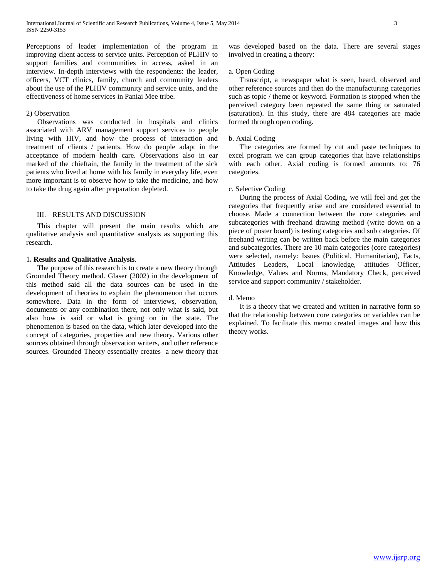Perceptions of leader implementation of the program in improving client access to service units. Perception of PLHIV to support families and communities in access, asked in an interview. In-depth interviews with the respondents: the leader, officers, VCT clinics, family, church and community leaders about the use of the PLHIV community and service units, and the effectiveness of home services in Paniai Mee tribe.

#### 2) Observation

 Observations was conducted in hospitals and clinics associated with ARV management support services to people living with HIV, and how the process of interaction and treatment of clients / patients. How do people adapt in the acceptance of modern health care. Observations also in ear marked of the chieftain, the family in the treatment of the sick patients who lived at home with his family in everyday life, even more important is to observe how to take the medicine, and how to take the drug again after preparation depleted.

## III. RESULTS AND DISCUSSION

 This chapter will present the main results which are qualitative analysis and quantitative analysis as supporting this research.

#### 1**. Results and Qualitative Analysis**.

 The purpose of this research is to create a new theory through Grounded Theory method. Glaser (2002) in the development of this method said all the data sources can be used in the development of theories to explain the phenomenon that occurs somewhere. Data in the form of interviews, observation, documents or any combination there, not only what is said, but also how is said or what is going on in the state. The phenomenon is based on the data, which later developed into the concept of categories, properties and new theory. Various other sources obtained through observation writers, and other reference sources. Grounded Theory essentially creates a new theory that

was developed based on the data. There are several stages involved in creating a theory:

### a. Open Coding

 Transcript, a newspaper what is seen, heard, observed and other reference sources and then do the manufacturing categories such as topic / theme or keyword. Formation is stopped when the perceived category been repeated the same thing or saturated (saturation). In this study, there are 484 categories are made formed through open coding.

#### b. Axial Coding

 The categories are formed by cut and paste techniques to excel program we can group categories that have relationships with each other. Axial coding is formed amounts to: 76 categories.

### c. Selective Coding

 During the process of Axial Coding, we will feel and get the categories that frequently arise and are considered essential to choose. Made a connection between the core categories and subcategories with freehand drawing method (write down on a piece of poster board) is testing categories and sub categories. Of freehand writing can be written back before the main categories and subcategories. There are 10 main categories (core categories) were selected, namely: Issues (Political, Humanitarian), Facts, Attitudes Leaders, Local knowledge, attitudes Officer, Knowledge, Values and Norms, Mandatory Check, perceived service and support community / stakeholder.

#### d. Memo

 It is a theory that we created and written in narrative form so that the relationship between core categories or variables can be explained. To facilitate this memo created images and how this theory works.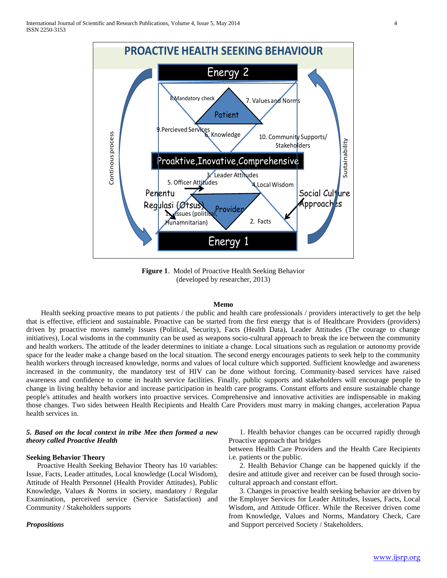

**Figure 1**. Model of Proactive Health Seeking Behavior (developed by researcher, 2013)

## **Memo**

 Health seeking proactive means to put patients / the public and health care professionals / providers interactively to get the help that is effective, efficient and sustainable. Proactive can be started from the first energy that is of Healthcare Providers (providers) driven by proactive moves namely Issues (Political, Security), Facts (Health Data), Leader Attitudes (The courage to change initiatives), Local wisdoms in the community can be used as weapons socio-cultural approach to break the ice between the community and health workers. The attitude of the leader determines to initiate a change. Local situations such as regulation or autonomy provide space for the leader make a change based on the local situation. The second energy encourages patients to seek help to the community health workers through increased knowledge, norms and values of local culture which supported. Sufficient knowledge and awareness increased in the community, the mandatory test of HIV can be done without forcing. Community-based services have raised awareness and confidence to come in health service facilities. Finally, public supports and stakeholders will encourage people to change in living healthy behavior and increase participation in health care programs. Constant efforts and ensure sustainable change people's attitudes and health workers into proactive services. Comprehensive and innovative activities are indispensable in making those changes. Two sides between Health Recipients and Health Care Providers must marry in making changes, acceleration Papua health services in.

# *5. Based on the local context in tribe Mee then formed a new theory called Proactive Health*

## **Seeking Behavior Theory**

 Proactive Health Seeking Behavior Theory has 10 variables: Issue, Facts, Leader attitudes, Local knowledge (Local Wisdom), Attitude of Health Personnel (Health Provider Attitudes), Public Knowledge, Values & Norms in society, mandatory / Regular Examination, perceived service (Service Satisfaction) and Community / Stakeholders supports

## *Propositions*

 1. Health behavior changes can be occurred rapidly through Proactive approach that bridges

between Health Care Providers and the Health Care Recipients i.e. patients or the public.

 2. Health Behavior Change can be happened quickly if the desire and attitude giver and receiver can be fused through sociocultural approach and constant effort.

 3. Changes in proactive health seeking behavior are driven by the Employer Services for Leader Attitudes, Issues, Facts, Local Wisdom, and Attitude Officer. While the Receiver driven come from Knowledge, Values and Norms, Mandatory Check, Care and Support perceived Society / Stakeholders.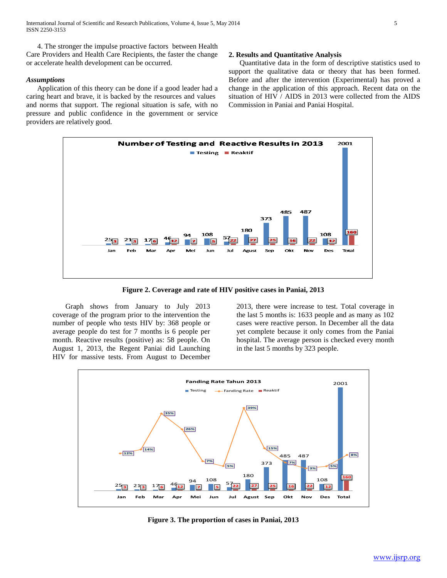4. The stronger the impulse proactive factors between Health Care Providers and Health Care Recipients, the faster the change or accelerate health development can be occurred.

## *Assumptions*

 Application of this theory can be done if a good leader had a caring heart and brave, it is backed by the resources and values and norms that support. The regional situation is safe, with no pressure and public confidence in the government or service providers are relatively good.

### **2. Results and Quantitative Analysis**

 Quantitative data in the form of descriptive statistics used to support the qualitative data or theory that has been formed. Before and after the intervention (Experimental) has proved a change in the application of this approach. Recent data on the situation of HIV / AIDS in 2013 were collected from the AIDS Commission in Paniai and Paniai Hospital.



**Figure 2. Coverage and rate of HIV positive cases in Paniai, 2013**

 Graph shows from January to July 2013 coverage of the program prior to the intervention the number of people who tests HIV by: 368 people or average people do test for 7 months is 6 people per month. Reactive results (positive) as: 58 people. On August 1, 2013, the Regent Paniai did Launching HIV for massive tests. From August to December

2013, there were increase to test. Total coverage in the last 5 months is: 1633 people and as many as 102 cases were reactive person. In December all the data yet complete because it only comes from the Paniai hospital. The average person is checked every month in the last 5 months by 323 people.



**Figure 3. The proportion of cases in Paniai, 2013**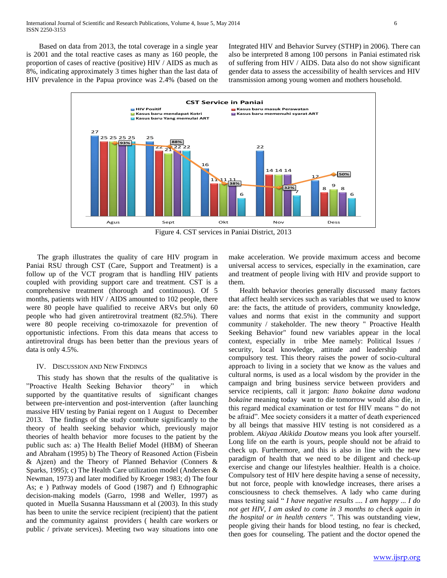Based on data from 2013, the total coverage in a single year is 2001 and the total reactive cases as many as 160 people, the proportion of cases of reactive (positive) HIV / AIDS as much as 8%, indicating approximately 3 times higher than the last data of HIV prevalence in the Papua province was 2.4% (based on the

Integrated HIV and Behavior Survey (STHP) in 2006). There can also be interpreted 8 among 100 persons in Paniai estimated risk of suffering from HIV / AIDS. Data also do not show significant gender data to assess the accessibility of health services and HIV transmission among young women and mothers household.



Figure 4. CST services in Paniai District, 2013

 The graph illustrates the quality of care HIV program in Paniai RSU through CST (Care, Support and Treatment) is a follow up of the VCT program that is handling HIV patients coupled with providing support care and treatment. CST is a comprehensive treatment (thorough and continuous). Of 5 months, patients with HIV / AIDS amounted to 102 people, there were 80 people have qualified to receive ARVs but only 60 people who had given antiretroviral treatment (82.5%). There were 80 people receiving co-trimoxazole for prevention of opportunistic infections. From this data means that access to antiretroviral drugs has been better than the previous years of data is only 4.5%.

## IV. DISCUSSION AND NEW FINDINGS

 This study has shown that the results of the qualitative is "Proactive Health Seeking Behavior theory" in which supported by the quantitative results of significant changes between pre-intervention and post-intervention (after launching massive HIV testing by Paniai regent on 1 August to December 2013. The findings of the study contribute significantly to the theory of health seeking behavior which, previously major theories of health behavior more focuses to the patient by the public such as: a) The Health Belief Model (HBM) of Sheeran and Abraham (1995) b) The Theory of Reasoned Action (Fisbein & Ajzen) and the Theory of Planned Behavior (Conners & Sparks, 1995); c) The Health Care utilization model (Andersen & Newman, 1973) and later modified by Kroeger 1983; d) The four As; e ) Pathway models of Good (1987) and f) Ethnographic decision-making models (Garro, 1998 and Weller, 1997) as quoted in Muella Susanna Haussmann et al (2003). In this study has been to unite the service recipient (recipient) that the patient and the community against providers ( health care workers or public / private services). Meeting two way situations into one

make acceleration. We provide maximum access and become universal access to services, especially in the examination, care and treatment of people living with HIV and provide support to them.

 Health behavior theories generally discussed many factors that affect health services such as variables that we used to know are: the facts, the attitude of providers, community knowledge, values and norms that exist in the community and support community / stakeholder. The new theory " Proactive Health Seeking Behavior" found new variables appear in the local context, especially in tribe Mee namely: Political Issues / security, local knowledge, attitude and leadership and compulsory test. This theory raises the power of socio-cultural approach to living in a society that we know as the values and cultural norms, is used as a local wisdom by the provider in the campaign and bring business service between providers and service recipients, call it jargon: *Itano bokaine dana wadona bokaine* meaning today want to die tomorrow would also die, in this regard medical examination or test for HIV means " do not be afraid". Mee society considers it a matter of death experienced by all beings that massive HIV testing is not considered as a problem. *Akiyaa Akikida Doutow* means you look after yourself. Long life on the earth is yours, people should not be afraid to check up. Furthermore, and this is also in line with the new paradigm of health that we need to be diligent and check-up exercise and change our lifestyles healthier. Health is a choice. Compulsory test of HIV here despite having a sense of necessity, but not force, people with knowledge increases, there arises a consciousness to check themselves. A lady who came during mass testing said " *I have negative results .... I am happy ... I do not get HIV, I am asked to come in 3 months to check again in the hospital or in health centers "*. This was outstanding view, people giving their hands for blood testing, no fear is checked, then goes for counseling. The patient and the doctor opened the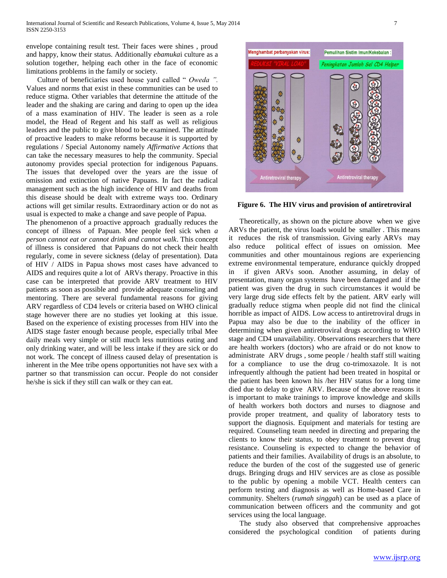envelope containing result test. Their faces were shines , proud and happy, know their status. Additionally *ebamuka*i culture as a solution together, helping each other in the face of economic limitations problems in the family or society.

 Culture of beneficiaries used house yard called " *Oweda ".* Values and norms that exist in these communities can be used to reduce stigma. Other variables that determine the attitude of the leader and the shaking are caring and daring to open up the idea of a mass examination of HIV. The leader is seen as a role model, the Head of Regent and his staff as well as religious leaders and the public to give blood to be examined. The attitude of proactive leaders to make reforms because it is supported by regulations / Special Autonomy namely *Affirmative Actions* that can take the necessary measures to help the community. Special autonomy provides special protection for indigenous Papuans. The issues that developed over the years are the issue of omission and extinction of native Papuans. In fact the radical management such as the high incidence of HIV and deaths from this disease should be dealt with extreme ways too. Ordinary actions will get similar results. Extraordinary action or do not as usual is expected to make a change and save people of Papua.

The phenomenon of a proactive approach gradually reduces the concept of illness of Papuan. Mee people feel sick when *a person cannot eat or cannot drink and cannot walk*. This concept of illness is considered that Papuans do not check their health regularly, come in severe sickness (delay of presentation). Data of HIV / AIDS in Papua shows most cases have advanced to AIDS and requires quite a lot of ARVs therapy. Proactive in this case can be interpreted that provide ARV treatment to HIV patients as soon as possible and provide adequate counseling and mentoring. There are several fundamental reasons for giving ARV regardless of CD4 levels or criteria based on WHO clinical stage however there are no studies yet looking at this issue. Based on the experience of existing processes from HIV into the AIDS stage faster enough because people, especially tribal Mee daily meals very simple or still much less nutritious eating and only drinking water, and will be less intake if they are sick or do not work. The concept of illness caused delay of presentation is inherent in the Mee tribe opens opportunities not have sex with a partner so that transmission can occur. People do not consider he/she is sick if they still can walk or they can eat.



**Figure 6. The HIV virus and provision of antiretroviral**

 Theoretically, as shown on the picture above when we give ARVs the patient, the virus loads would be smaller . This means it reduces the risk of transmission. Giving early ARVs may also reduce political effect of issues on omission. Mee communities and other mountainous regions are experiencing extreme environmental temperature, endurance quickly dropped in if given ARVs soon. Another assuming, in delay of presentation, many organ systems have been damaged and if the patient was given the drug in such circumstances it would be very large drug side effects felt by the patient. ARV early will gradually reduce stigma when people did not find the clinical horrible as impact of AIDS. Low access to antiretroviral drugs in Papua may also be due to the inability of the officer in determining when given antiretroviral drugs according to WHO stage and CD4 unavailability. Observations researchers that there are health workers (doctors) who are afraid or do not know to administrate ARV drugs , some people / health staff still waiting for a compliance to use the drug co-trimoxazole. It is not infrequently although the patient had been treated in hospital or the patient has been known his /her HIV status for a long time died due to delay to give ARV. Because of the above reasons it is important to make trainings to improve knowledge and skills of health workers both doctors and nurses to diagnose and provide proper treatment, and quality of laboratory tests to support the diagnosis. Equipment and materials for testing are required. Counseling team needed in directing and preparing the clients to know their status, to obey treatment to prevent drug resistance. Counseling is expected to change the behavior of patients and their families. Availability of drugs is an absolute, to reduce the burden of the cost of the suggested use of generic drugs. Bringing drugs and HIV services are as close as possible to the public by opening a mobile VCT. Health centers can perform testing and diagnosis as well as Home-based Care in community. Shelters (*rumah singgah*) can be used as a place of communication between officers and the community and got services using the local language.

 The study also observed that comprehensive approaches considered the psychological condition of patients during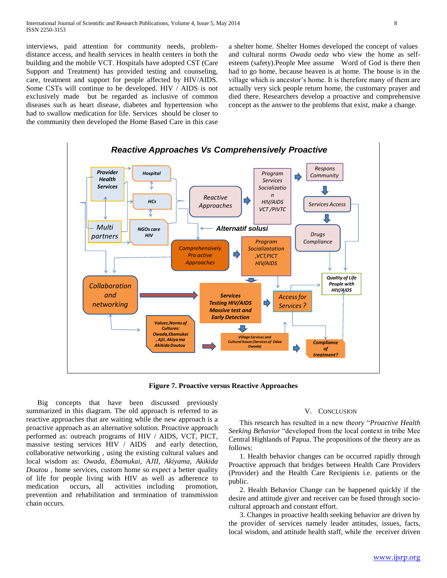interviews, paid attention for community needs, problemdistance access, and health services in health centers in both the building and the mobile VCT. Hospitals have adopted CST (Care Support and Treatment) has provided testing and counseling, care, treatment and support for people affected by HIV/AIDS. Some CSTs will continue to be developed. HIV / AIDS is not exclusively made but be regarded as inclusive of common diseases such as heart disease, diabetes and hypertension who had to swallow medication for life. Services should be closer to the community then developed the Home Based Care in this case

a shelter home. Shelter Homes developed the concept of values and cultural norms *Owada oeda* who view the home as selfesteem (safety).People Mee assume Word of God is there then had to go home, because heaven is at home. The house is in the village which is ancestor's home. It is therefore many of them are actually very sick people return home, the customary prayer and died there. Researchers develop a proactive and comprehensive concept as the answer to the problems that exist, make a change.



**Figure 7. Proactive versus Reactive Approaches**

 Big concepts that have been discussed previously summarized in this diagram. The old approach is referred to as reactive approaches that are waiting while the new approach is a proactive approach as an alternative solution. Proactive approach performed as: outreach programs of HIV / AIDS, VCT, PICT, massive testing services HIV / AIDS and early detection, collaborative networking , using the existing cultural values and local wisdom as: *Owada, Ebamukai, AJII, Akiyama, Akikida Doutou* , home services, custom home so expect a better quality of life for people living with HIV as well as adherence to medication occurs, all activities including promotion, prevention and rehabilitation and termination of transmission chain occurs.

## V. CONCLUSION

 This research has resulted in a new theory "*Proactive Health Seeking Behavior* "developed from the local context in tribe Mee Central Highlands of Papua. The propositions of the theory are as follows:

 1. Health behavior changes can be occurred rapidly through Proactive approach that bridges between Health Care Providers (Provider) and the Health Care Recipients i.e. patients or the public.

 2. Health Behavior Change can be happened quickly if the desire and attitude giver and receiver can be fused through sociocultural approach and constant effort.

 3. Changes in proactive health seeking behavior are driven by the provider of services namely leader attitudes, issues, facts, local wisdom, and attitude health staff, while the receiver driven